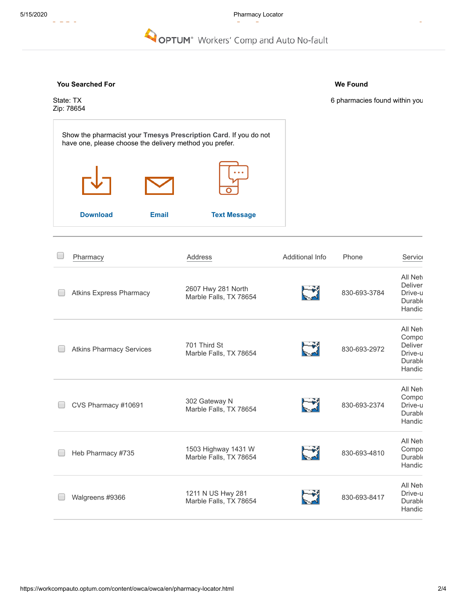#### Search pharmacies by distance from an additional state from an additional state from an additional state  $\sim$ Search pharmacies by name uto No-fault

### **You Searched For**

Show the pharmacist your **Tmesys Prescription Card**. If you do not

**[Download](https://www-lv.talispoint.com/talispoint/data/DIRECTORY_prod/PMSI/optum_first_fill_form.pdf) [Email](https://www-lv.talispoint.com/talispoint/) [Text Message](https://www-lv.talispoint.com/talispoint/)**

have one, please choose the delivery method you prefer.

**We Found**

State: TX Zip: 78654 6 pharmacies found within you

| Pharmacy                        | Address                                       | Additional Info | Phone        | Service                                                     |
|---------------------------------|-----------------------------------------------|-----------------|--------------|-------------------------------------------------------------|
| <b>Atkins Express Pharmacy</b>  | 2607 Hwy 281 North<br>Marble Falls, TX 78654  |                 | 830-693-3784 | All Net<br>Deliver<br>Drive-u<br>Durable<br>Handic          |
| <b>Atkins Pharmacy Services</b> | 701 Third St<br>Marble Falls, TX 78654        |                 | 830-693-2972 | All Net<br>Compo<br>Deliver<br>Drive-u<br>Durable<br>Handic |
| CVS Pharmacy #10691             | 302 Gateway N<br>Marble Falls, TX 78654       |                 | 830-693-2374 | All Net<br>Compo<br>Drive-u<br>Durable<br>Handic            |
| Heb Pharmacy #735               | 1503 Highway 1431 W<br>Marble Falls, TX 78654 |                 | 830-693-4810 | All Net<br>Compo<br>Durable<br>Handic                       |
| Walgreens #9366                 | 1211 N US Hwy 281<br>Marble Falls, TX 78654   |                 | 830-693-8417 | All Net<br>Drive-u<br>Durable<br>Handic                     |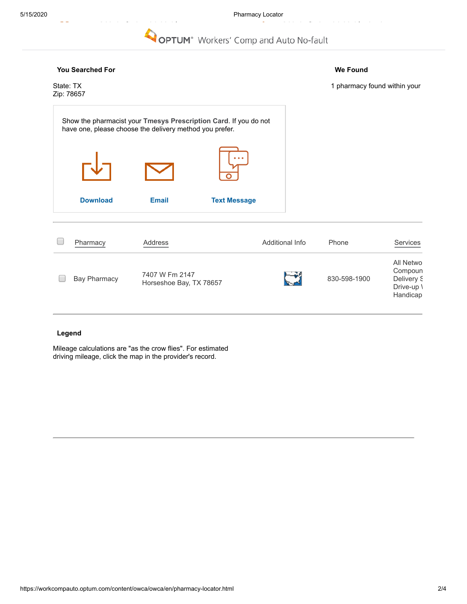### 5/15/2020 Pharmacy Locator

Sea c p a ac es by a e

## **OPTUM**<sup>®</sup> Workers' Comp and Auto No-fault

# **You Searched For We Found** State: TX 1 pharmacy found within your Zip: 78657 Show the pharmacist your **Tmesys Prescription Card**. If you do not have one, please choose the delivery method you prefer. **[Download](https://www-lv.talispoint.com/talispoint/data/DIRECTORY_prod/PMSI/optum_first_fill_form.pdf) [Email](https://www-lv.talispoint.com/talispoint/) [Text Message](https://www-lv.talispoint.com/talispoint/)**  $\Box$ [Pharmacy](https://www-lv.talispoint.com/talispoint/) [Address](https://www-lv.talispoint.com/talispoint/) Address Additional Info Phone [Services](https://www-lv.talispoint.com/talispoint/) All Netwo Compoun Bay Pharmacy 7407 W Fm 2147  $\Box$  $\begin{array}{|c|c|c|c|}\n\hline\n\text{Horse} & \text{Hence} & \text{Bay, TX 78657}\n\hline\n\end{array}$ Delivery S Drive-up \ Handicap

### **Legend**

Mileage calculations are "as the crow flies". For estimated driving mileage, click the map in the provider's record.

Sea c p a ac es by distance f[rom an address.](https://workcompauto.optum.com/content/owca/owca/en.html)